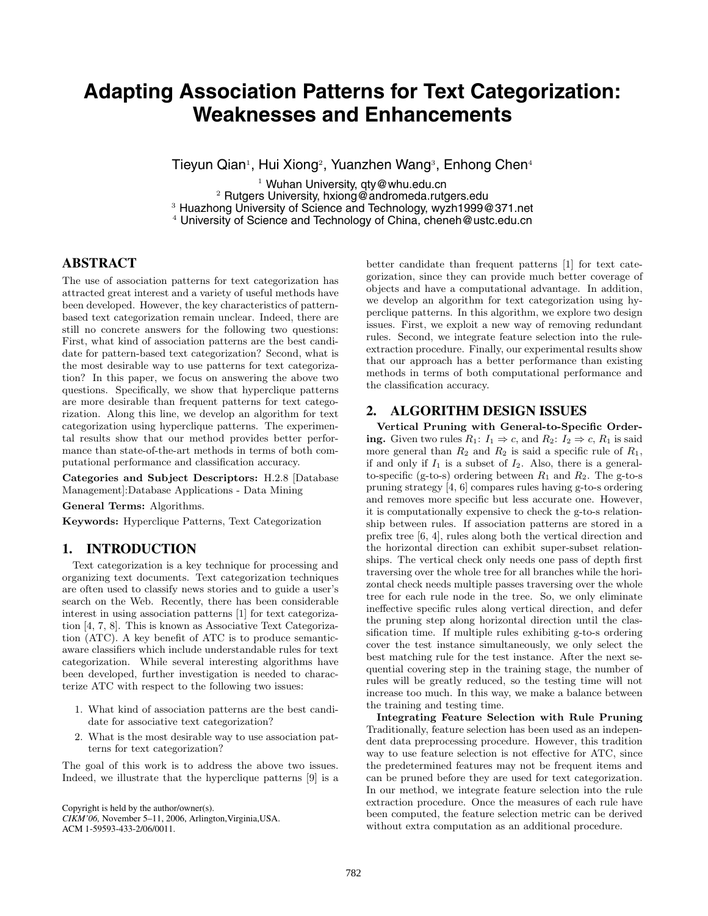# **Adapting Association Patterns for Text Categorization: Weaknesses and Enhancements**

Tieyun Qian<sup>1</sup>, Hui Xiong<sup>2</sup>, Yuanzhen Wang<sup>3</sup>, Enhong Chen<sup>4</sup>

<sup>1</sup> Wuhan University, qty@whu.edu.cn<br><sup>3</sup> Rutgers University, hxiong@andromeda.rutgers.edu<br><sup>3</sup> Huazhong University of Science and Technology, wyzh1999@371.net  $4$  University of Science and Technology of China, cheneh@ustc.edu.cn

## **ABSTRACT**

The use of association patterns for text categorization has attracted great interest and a variety of useful methods have been developed. However, the key characteristics of patternbased text categorization remain unclear. Indeed, there are still no concrete answers for the following two questions: First, what kind of association patterns are the best candidate for pattern-based text categorization? Second, what is the most desirable way to use patterns for text categorization? In this paper, we focus on answering the above two questions. Specifically, we show that hyperclique patterns are more desirable than frequent patterns for text categorization. Along this line, we develop an algorithm for text categorization using hyperclique patterns. The experimental results show that our method provides better performance than state-of-the-art methods in terms of both computational performance and classification accuracy.

**Categories and Subject Descriptors:** H.2.8 [Database Management]:Database Applications - Data Mining

**General Terms:** Algorithms.

**Keywords:** Hyperclique Patterns, Text Categorization

#### **1. INTRODUCTION**

Text categorization is a key technique for processing and organizing text documents. Text categorization techniques are often used to classify news stories and to guide a user's search on the Web. Recently, there has been considerable interest in using association patterns [1] for text categorization [4, 7, 8]. This is known as Associative Text Categorization (ATC). A key benefit of ATC is to produce semanticaware classifiers which include understandable rules for text categorization. While several interesting algorithms have been developed, further investigation is needed to characterize ATC with respect to the following two issues:

- 1. What kind of association patterns are the best candidate for associative text categorization?
- 2. What is the most desirable way to use association patterns for text categorization?

The goal of this work is to address the above two issues. Indeed, we illustrate that the hyperclique patterns [9] is a

Copyright is held by the author/owner(s).

*CIKM'06,* November 5–11, 2006, Arlington,Virginia,USA. ACM 1-59593-433-2/06/0011.

better candidate than frequent patterns [1] for text categorization, since they can provide much better coverage of objects and have a computational advantage. In addition, we develop an algorithm for text categorization using hyperclique patterns. In this algorithm, we explore two design issues. First, we exploit a new way of removing redundant rules. Second, we integrate feature selection into the ruleextraction procedure. Finally, our experimental results show that our approach has a better performance than existing methods in terms of both computational performance and the classification accuracy.

#### **2. ALGORITHM DESIGN ISSUES**

**Vertical Pruning with General-to-Specific Ordering.** Given two rules  $R_1: I_1 \Rightarrow c$ , and  $R_2: I_2 \Rightarrow c$ ,  $R_1$  is said more general than  $R_2$  and  $R_2$  is said a specific rule of  $R_1$ , if and only if  $I_1$  is a subset of  $I_2$ . Also, there is a generalto-specific (g-to-s) ordering between  $R_1$  and  $R_2$ . The g-to-s pruning strategy [4, 6] compares rules having g-to-s ordering and removes more specific but less accurate one. However, it is computationally expensive to check the g-to-s relationship between rules. If association patterns are stored in a prefix tree [6, 4], rules along both the vertical direction and the horizontal direction can exhibit super-subset relationships. The vertical check only needs one pass of depth first traversing over the whole tree for all branches while the horizontal check needs multiple passes traversing over the whole tree for each rule node in the tree. So, we only eliminate ineffective specific rules along vertical direction, and defer the pruning step along horizontal direction until the classification time. If multiple rules exhibiting g-to-s ordering cover the test instance simultaneously, we only select the best matching rule for the test instance. After the next sequential covering step in the training stage, the number of rules will be greatly reduced, so the testing time will not increase too much. In this way, we make a balance between the training and testing time.

**Integrating Feature Selection with Rule Pruning** Traditionally, feature selection has been used as an independent data preprocessing procedure. However, this tradition way to use feature selection is not effective for ATC, since the predetermined features may not be frequent items and can be pruned before they are used for text categorization. In our method, we integrate feature selection into the rule extraction procedure. Once the measures of each rule have been computed, the feature selection metric can be derived without extra computation as an additional procedure.